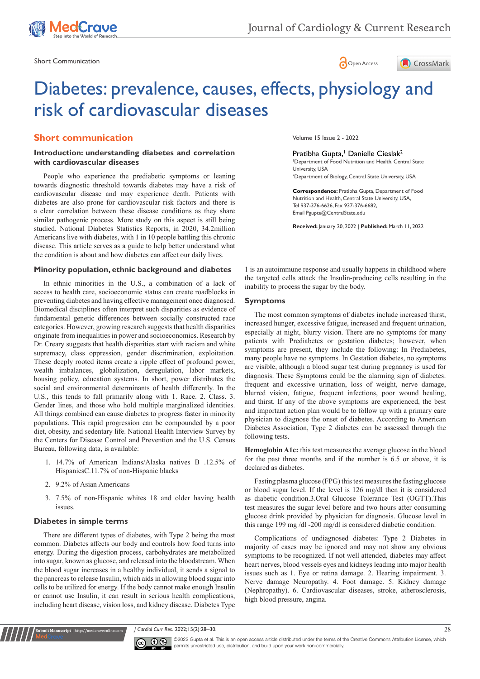

Short Communication and the state of the state of the state of the Short Communication and the Short Communication





# Diabetes: prevalence, causes, effects, physiology and risk of cardiovascular diseases

# **Short communication**

# **Introduction: understanding diabetes and correlation with cardiovascular diseases**

People who experience the prediabetic symptoms or leaning towards diagnostic threshold towards diabetes may have a risk of cardiovascular disease and may experience death. Patients with diabetes are also prone for cardiovascular risk factors and there is a clear correlation between these disease conditions as they share similar pathogenic process. More study on this aspect is still being studied. National Diabetes Statistics Reports, in 2020, 34.2million Americans live with diabetes, with 1 in 10 people battling this chronic disease. This article serves as a guide to help better understand what the condition is about and how diabetes can affect our daily lives.

## **Minority population, ethnic background and diabetes**

In ethnic minorities in the U.S., a combination of a lack of access to health care, socioeconomic status can create roadblocks in preventing diabetes and having effective management once diagnosed. Biomedical disciplines often interpret such disparities as evidence of fundamental genetic differences between socially constructed race categories. However, growing research suggests that health disparities originate from inequalities in power and socioeconomics. Research by Dr. Creary suggests that health disparities start with racism and white supremacy, class oppression, gender discrimination, exploitation. These deeply rooted items create a ripple effect of profound power, wealth imbalances, globalization, deregulation, labor markets, housing policy, education systems. In short, power distributes the social and environmental determinants of health differently. In the U.S., this tends to fall primarily along with 1. Race. 2. Class. 3. Gender lines, and those who hold multiple marginalized identities. All things combined can cause diabetes to progress faster in minority populations. This rapid progression can be compounded by a poor diet, obesity, and sedentary life. National Health Interview Survey by the Centers for Disease Control and Prevention and the U.S. Census Bureau, following data, is available:

- 1. 14.7% of American Indians/Alaska natives B .12.5% of HispanicsC.11.7% of non-Hispanic blacks
- 2. 9.2% of Asian Americans
- 3. 7.5% of non-Hispanic whites 18 and older having health issues.

## **Diabetes in simple terms**

**it Manuscript** | http://medcraveonline.c

There are different types of diabetes, with Type 2 being the most common. Diabetes affects our body and controls how food turns into energy. During the digestion process, carbohydrates are metabolized into sugar, known as glucose, and released into the bloodstream. When the blood sugar increases in a healthy individual, it sends a signal to the pancreas to release Insulin, which aids in allowing blood sugar into cells to be utilized for energy. If the body cannot make enough Insulin or cannot use Insulin, it can result in serious health complications, including heart disease, vision loss, and kidney disease. Diabetes Type

Volume 15 Issue 2 - 2022

## Pratibha Gupta,<sup>1</sup> Danielle Cieslak<sup>2</sup>

1 Department of Food Nutrition and Health, Central State University, USA 2 Department of Biology, Central State University, USA

**Correspondence:** Pratibha Gupta, Department of Food Nutrition and Health, Central State University, USA, Tel 937-376-6626, Fax 937-376-6682, Email Pgupta@CentralState.edu

**Received:** January 20, 2022 | **Published:** March 11, 2022

1 is an autoimmune response and usually happens in childhood where the targeted cells attack the Insulin-producing cells resulting in the inability to process the sugar by the body.

#### **Symptoms**

The most common symptoms of diabetes include increased thirst, increased hunger, excessive fatigue, increased and frequent urination, especially at night, blurry vision. There are no symptoms for many patients with Prediabetes or gestation diabetes; however, when symptoms are present, they include the following: In Prediabetes, many people have no symptoms. In Gestation diabetes, no symptoms are visible, although a blood sugar test during pregnancy is used for diagnosis. These Symptoms could be the alarming sign of diabetes: frequent and excessive urination, loss of weight, nerve damage, blurred vision, fatigue, frequent infections, poor wound healing, and thirst. If any of the above symptoms are experienced, the best and important action plan would be to follow up with a primary care physician to diagnose the onset of diabetes. According to American Diabetes Association, Type 2 diabetes can be assessed through the following tests.

**Hemoglobin A1c:** this test measures the average glucose in the blood for the past three months and if the number is 6.5 or above, it is declared as diabetes.

Fasting plasma glucose (FPG) this test measures the fasting glucose or blood sugar level. If the level is 126 mg/dl then it is considered as diabetic condition.3.Oral Glucose Tolerance Test (OGTT).This test measures the sugar level before and two hours after consuming glucose drink provided by physician for diagnosis. Glucose level in this range 199 mg /dl -200 mg/dl is considered diabetic condition.

Complications of undiagnosed diabetes: Type 2 Diabetes in majority of cases may be ignored and may not show any obvious symptoms to be recognized. If not well attended, diabetes may affect heart nerves, blood vessels eyes and kidneys leading into major health issues such as 1. Eye or retina damage. 2. Hearing impairment. 3. Nerve damage Neuropathy. 4. Foot damage. 5. Kidney damage (Nephropathy). 6. Cardiovascular diseases, stroke, atherosclerosis, high blood pressure, angina.

*J Cardiol Curr Res.* 2022;15(2):28‒30. 28



©2022 Gupta et al. This is an open access article distributed under the terms of the [Creative Commons Attribution License,](https://creativecommons.org/licenses/by-nc/4.0/) which permits unrestricted use, distribution, and build upon your work non-commercially.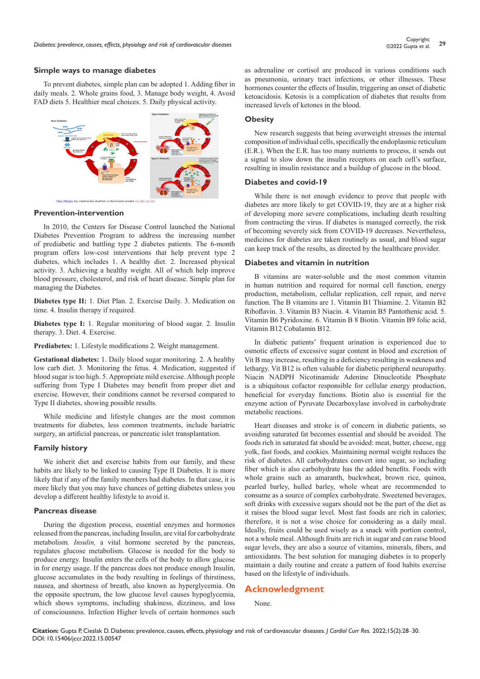#### **Simple ways to manage diabetes**

To prevent diabetes, simple plan can be adopted 1. Adding fiber in daily meals. 2. Whole grains food, 3. Manage body weight, 4. Avoid FAD diets 5. Healthier meal choices. 5. Daily physical activity.



#### **Prevention-intervention**

In 2010, the Centers for Disease Control launched the National Diabetes Prevention Program to address the increasing number of prediabetic and battling type 2 diabetes patients. The 6-month program offers low-cost interventions that help prevent type 2 diabetes, which includes 1. A healthy diet. 2. Increased physical activity. 3. Achieving a healthy weight. All of which help improve blood pressure, cholesterol, and risk of heart disease. Simple plan for managing the Diabetes.

**Diabetes type II:** 1. Diet Plan. 2. Exercise Daily. 3. Medication on time. 4. Insulin therapy if required.

**Diabetes type I:** 1. Regular monitoring of blood sugar. 2. Insulin therapy. 3. Diet. 4. Exercise.

**Prediabetes:** 1. Lifestyle modifications 2. Weight management.

**Gestational diabetes:** 1. Daily blood sugar monitoring. 2. A healthy low carb diet. 3. Monitoring the fetus. 4. Medication, suggested if blood sugar is too high. 5. Appropriate mild exercise. Although people suffering from Type I Diabetes may benefit from proper diet and exercise. However, their conditions cannot be reversed compared to Type II diabetes, showing possible results.

While medicine and lifestyle changes are the most common treatments for diabetes, less common treatments, include bariatric surgery, an artificial pancreas, or pancreatic islet transplantation.

#### **Family history**

We inherit diet and exercise habits from our family, and these habits are likely to be linked to causing Type II Diabetes. It is more likely that if any of the family members had diabetes. In that case, it is more likely that you may have chances of getting diabetes unless you develop a different healthy lifestyle to avoid it.

#### **Pancreas disease**

During the digestion process, essential enzymes and hormones released from the pancreas, including Insulin, are vital for carbohydrate metabolism. *Insulin,* a vital hormone secreted by the pancreas, regulates glucose metabolism. Glucose is needed for the body to produce energy. Insulin enters the cells of the body to allow glucose in for energy usage. If the pancreas does not produce enough Insulin, glucose accumulates in the body resulting in feelings of thirstiness, nausea, and shortness of breath, also known as hyperglycemia. On the opposite spectrum, the low glucose level causes hypoglycemia, which shows symptoms, including shakiness, dizziness, and loss of consciousness. Infection Higher levels of certain hormones such

as adrenaline or cortisol are produced in various conditions such as pneumonia, urinary tract infections, or other illnesses. These hormones counter the effects of Insulin, triggering an onset of diabetic ketoacidosis. Ketosis is a complication of diabetes that results from increased levels of ketones in the blood.

#### **Obesity**

New research suggests that being overweight stresses the internal composition of individual cells, specifically the endoplasmic reticulum (E.R.). When the E.R. has too many nutrients to process, it sends out a signal to slow down the insulin receptors on each cell's surface, resulting in insulin resistance and a buildup of glucose in the blood.

#### **Diabetes and covid-19**

While there is not enough evidence to prove that people with diabetes are more likely to get COVID-19, they are at a higher risk of developing more severe complications, including death resulting from contracting the virus. If diabetes is managed correctly, the risk of becoming severely sick from COVID-19 decreases. Nevertheless, medicines for diabetes are taken routinely as usual, and blood sugar can keep track of the results, as directed by the healthcare provider.

#### **Diabetes and vitamin in nutrition**

B vitamins are water-soluble and the most common vitamin in human nutrition and required for normal cell function, energy production, metabolism, cellular replication, cell repair, and nerve function. The B vitamins are 1. Vitamin B1 Thiamine. 2. Vitamin B2 Riboflavin. 3. Vitamin B3 Niacin. 4. Vitamin B5 Pantothenic acid. 5. Vitamin B6 Pyridoxine. 6. Vitamin B 8 Biotin. Vitamin B9 folic acid, Vitamin B12 Cobalamin B12.

In diabetic patients' frequent urination is experienced due to osmotic effects of excessive sugar content in blood and excretion of Vit B may increase, resulting in a deficiency resulting in weakness and lethargy. Vit B12 is often valuable for diabetic peripheral neuropathy. Niacin NADPH Nicotinamide Adenine Dinucleotide Phosphate is a ubiquitous cofactor responsible for cellular energy production, beneficial for everyday functions. Biotin also is essential for the enzyme action of Pyruvate Decarboxylase involved in carbohydrate metabolic reactions.

Heart diseases and stroke is of concern in diabetic patients, so avoiding saturated fat becomes essential and should be avoided. The foods rich in saturated fat should be avoided: meat, butter, cheese, egg yolk, fast foods, and cookies. Maintaining normal weight reduces the risk of diabetes. All carbohydrates convert into sugar, so including fiber which is also carbohydrate has the added benefits. Foods with whole grains such as amaranth, buckwheat, brown rice, quinoa, pearled barley, hulled barley, whole wheat are recommended to consume as a source of complex carbohydrate. Sweetened beverages, soft drinks with excessive sugars should not be the part of the diet as it raises the blood sugar level. Most fast foods are rich in calories; therefore, it is not a wise choice for considering as a daily meal. Ideally, fruits could be used wisely as a snack with portion control, not a whole meal. Although fruits are rich in sugar and can raise blood sugar levels, they are also a source of vitamins, minerals, fibers, and antioxidants. The best solution for managing diabetes is to properly maintain a daily routine and create a pattern of food habits exercise based on the lifestyle of individuals.

# **Acknowledgment**

None.

**Citation:** Gupta P, Cieslak D. Diabetes: prevalence, causes, effects, physiology and risk of cardiovascular diseases. *J Cardiol Curr Res.* 2022;15(2):28‒30. DOI: [10.15406/jccr.2022.15.00547](https://doi.org/10.15406/jccr.2022.15.00547)